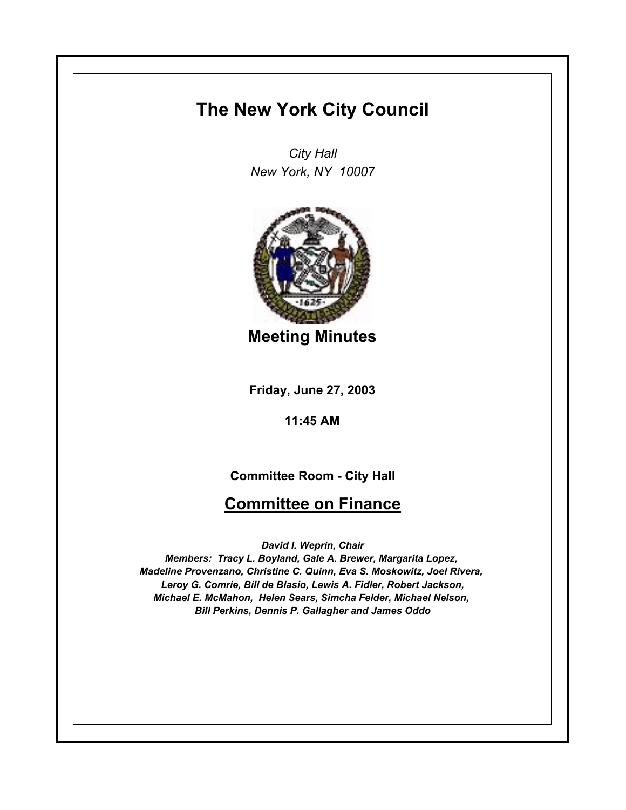# **The New York City Council**

*City Hall New York, NY 10007*



**Meeting Minutes**

**Friday, June 27, 2003**

**11:45 AM**

## **Committee Room - City Hall**

## **Committee on Finance**

*David I. Weprin, Chair*

*Members: Tracy L. Boyland, Gale A. Brewer, Margarita Lopez, Madeline Provenzano, Christine C. Quinn, Eva S. Moskowitz, Joel Rivera, Leroy G. Comrie, Bill de Blasio, Lewis A. Fidler, Robert Jackson, Michael E. McMahon, Helen Sears, Simcha Felder, Michael Nelson, Bill Perkins, Dennis P. Gallagher and James Oddo*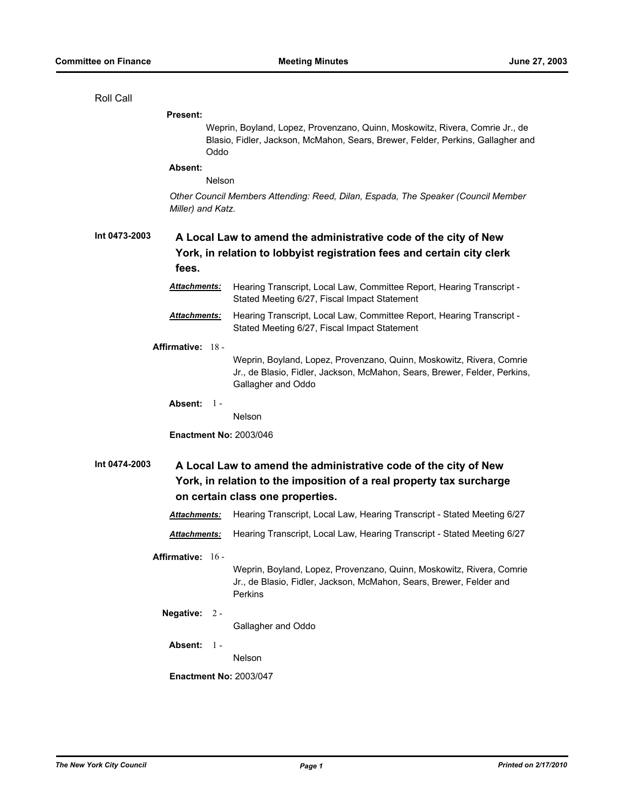Roll Call

| <b>Present:</b>               |                                                                                                                                                                             |  |
|-------------------------------|-----------------------------------------------------------------------------------------------------------------------------------------------------------------------------|--|
| Oddo                          | Weprin, Boyland, Lopez, Provenzano, Quinn, Moskowitz, Rivera, Comrie Jr., de<br>Blasio, Fidler, Jackson, McMahon, Sears, Brewer, Felder, Perkins, Gallagher and             |  |
| Absent:                       |                                                                                                                                                                             |  |
| Nelson                        |                                                                                                                                                                             |  |
| Miller) and Katz.             | Other Council Members Attending: Reed, Dilan, Espada, The Speaker (Council Member                                                                                           |  |
| Int 0473-2003<br>fees.        | A Local Law to amend the administrative code of the city of New<br>York, in relation to lobbyist registration fees and certain city clerk                                   |  |
| <u> Attachments:</u>          | Hearing Transcript, Local Law, Committee Report, Hearing Transcript -<br>Stated Meeting 6/27, Fiscal Impact Statement                                                       |  |
| Attachments:                  | Hearing Transcript, Local Law, Committee Report, Hearing Transcript -<br>Stated Meeting 6/27, Fiscal Impact Statement                                                       |  |
| Affirmative: 18 -             |                                                                                                                                                                             |  |
|                               | Weprin, Boyland, Lopez, Provenzano, Quinn, Moskowitz, Rivera, Comrie<br>Jr., de Blasio, Fidler, Jackson, McMahon, Sears, Brewer, Felder, Perkins,<br>Gallagher and Oddo     |  |
| Absent: $1 -$                 |                                                                                                                                                                             |  |
|                               | Nelson                                                                                                                                                                      |  |
| <b>Enactment No: 2003/046</b> |                                                                                                                                                                             |  |
| Int 0474-2003                 | A Local Law to amend the administrative code of the city of New<br>York, in relation to the imposition of a real property tax surcharge<br>on certain class one properties. |  |
| Attachments:                  | Hearing Transcript, Local Law, Hearing Transcript - Stated Meeting 6/27                                                                                                     |  |
| Attachments:                  | Hearing Transcript, Local Law, Hearing Transcript - Stated Meeting 6/27                                                                                                     |  |
| Affirmative: $16 -$           |                                                                                                                                                                             |  |
|                               | Weprin, Boyland, Lopez, Provenzano, Quinn, Moskowitz, Rivera, Comrie<br>Jr., de Blasio, Fidler, Jackson, McMahon, Sears, Brewer, Felder and<br>Perkins                      |  |
| Negative: 2 -                 | Gallagher and Oddo                                                                                                                                                          |  |
| Absent:<br>- 1 -              | Nelson                                                                                                                                                                      |  |
| <b>Enactment No: 2003/047</b> |                                                                                                                                                                             |  |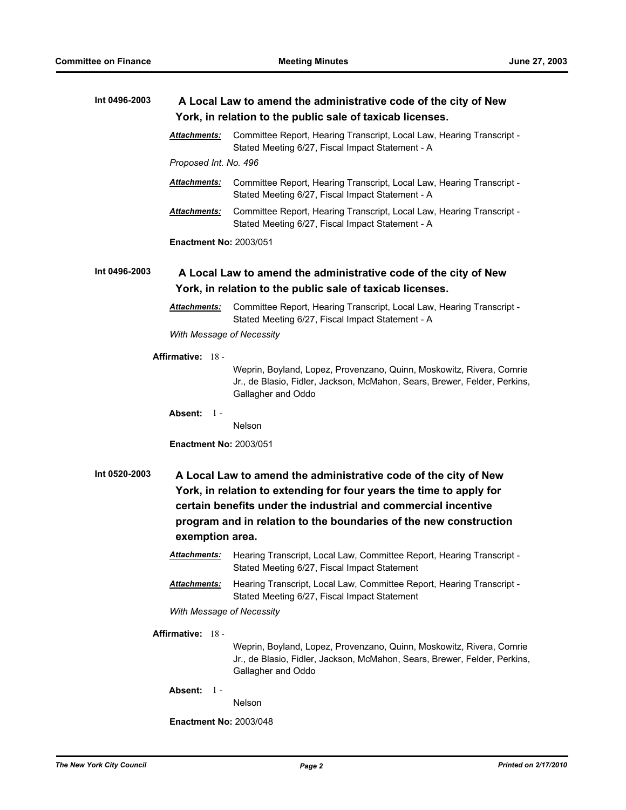| Int 0496-2003 | A Local Law to amend the administrative code of the city of New<br>York, in relation to the public sale of taxicab licenses. |                                                                                                                                                                                                                                                                               |
|---------------|------------------------------------------------------------------------------------------------------------------------------|-------------------------------------------------------------------------------------------------------------------------------------------------------------------------------------------------------------------------------------------------------------------------------|
|               | Attachments:                                                                                                                 | Committee Report, Hearing Transcript, Local Law, Hearing Transcript -<br>Stated Meeting 6/27, Fiscal Impact Statement - A                                                                                                                                                     |
|               | Proposed Int. No. 496                                                                                                        |                                                                                                                                                                                                                                                                               |
|               | <b>Attachments:</b>                                                                                                          | Committee Report, Hearing Transcript, Local Law, Hearing Transcript -<br>Stated Meeting 6/27, Fiscal Impact Statement - A                                                                                                                                                     |
|               | Attachments:                                                                                                                 | Committee Report, Hearing Transcript, Local Law, Hearing Transcript -<br>Stated Meeting 6/27, Fiscal Impact Statement - A                                                                                                                                                     |
|               | <b>Enactment No: 2003/051</b>                                                                                                |                                                                                                                                                                                                                                                                               |
| Int 0496-2003 |                                                                                                                              | A Local Law to amend the administrative code of the city of New<br>York, in relation to the public sale of taxicab licenses.                                                                                                                                                  |
|               | <b>Attachments:</b>                                                                                                          | Committee Report, Hearing Transcript, Local Law, Hearing Transcript -<br>Stated Meeting 6/27, Fiscal Impact Statement - A                                                                                                                                                     |
|               | With Message of Necessity                                                                                                    |                                                                                                                                                                                                                                                                               |
|               | Affirmative: 18 -                                                                                                            |                                                                                                                                                                                                                                                                               |
|               |                                                                                                                              | Weprin, Boyland, Lopez, Provenzano, Quinn, Moskowitz, Rivera, Comrie<br>Jr., de Blasio, Fidler, Jackson, McMahon, Sears, Brewer, Felder, Perkins,<br>Gallagher and Oddo                                                                                                       |
|               | Absent: $1 -$                                                                                                                | <b>Nelson</b>                                                                                                                                                                                                                                                                 |
|               | <b>Enactment No: 2003/051</b>                                                                                                |                                                                                                                                                                                                                                                                               |
| Int 0520-2003 | exemption area.                                                                                                              | A Local Law to amend the administrative code of the city of New<br>York, in relation to extending for four years the time to apply for<br>certain benefits under the industrial and commercial incentive<br>program and in relation to the boundaries of the new construction |
|               | <u>Attachments:</u>                                                                                                          | Hearing Transcript, Local Law, Committee Report, Hearing Transcript -<br>Stated Meeting 6/27, Fiscal Impact Statement                                                                                                                                                         |
|               | Attachments:                                                                                                                 | Hearing Transcript, Local Law, Committee Report, Hearing Transcript -<br>Stated Meeting 6/27, Fiscal Impact Statement                                                                                                                                                         |
|               | With Message of Necessity                                                                                                    |                                                                                                                                                                                                                                                                               |
|               | Affirmative: 18 -                                                                                                            | Weprin, Boyland, Lopez, Provenzano, Quinn, Moskowitz, Rivera, Comrie<br>Jr., de Blasio, Fidler, Jackson, McMahon, Sears, Brewer, Felder, Perkins,<br>Gallagher and Oddo                                                                                                       |
|               | Absent:<br>$1 -$                                                                                                             | Nelson                                                                                                                                                                                                                                                                        |
|               | <b>Enactment No: 2003/048</b>                                                                                                |                                                                                                                                                                                                                                                                               |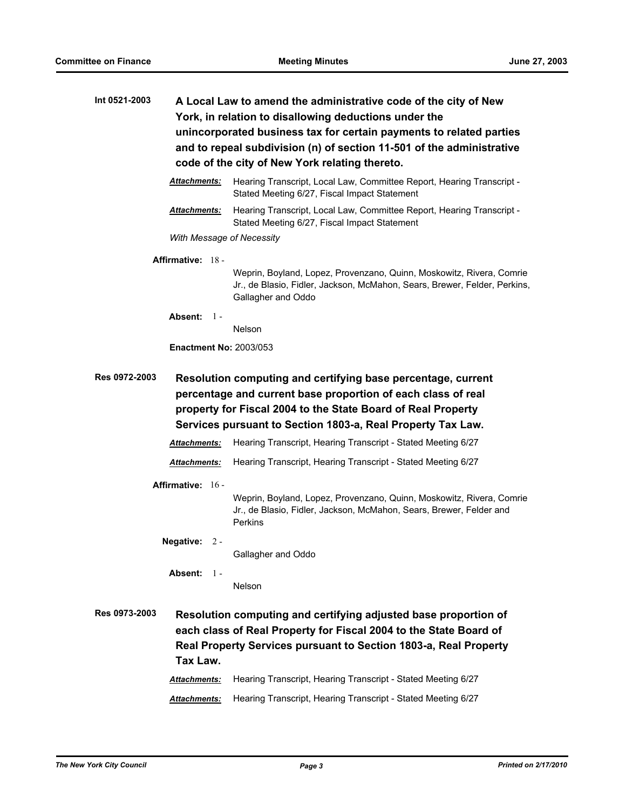| Int 0521-2003 | A Local Law to amend the administrative code of the city of New<br>York, in relation to disallowing deductions under the<br>unincorporated business tax for certain payments to related parties<br>and to repeal subdivision (n) of section 11-501 of the administrative<br>code of the city of New York relating thereto. |                                                                                                                       |  |
|---------------|----------------------------------------------------------------------------------------------------------------------------------------------------------------------------------------------------------------------------------------------------------------------------------------------------------------------------|-----------------------------------------------------------------------------------------------------------------------|--|
|               | <b>Attachments:</b>                                                                                                                                                                                                                                                                                                        | Hearing Transcript, Local Law, Committee Report, Hearing Transcript -<br>Stated Meeting 6/27, Fiscal Impact Statement |  |
|               | <b>Attachments:</b>                                                                                                                                                                                                                                                                                                        | Hearing Transcript, Local Law, Committee Report, Hearing Transcript -<br>Stated Meeting 6/27, Fiscal Impact Statement |  |
|               | With Message of Necessity                                                                                                                                                                                                                                                                                                  |                                                                                                                       |  |
|               | <b>Affirmative: 18 -</b>                                                                                                                                                                                                                                                                                                   |                                                                                                                       |  |

Weprin, Boyland, Lopez, Provenzano, Quinn, Moskowitz, Rivera, Comrie Jr., de Blasio, Fidler, Jackson, McMahon, Sears, Brewer, Felder, Perkins, Gallagher and Oddo

**Absent:** 1 -

Nelson

**Enactment No:** 2003/053

### **Res 0972-2003 Resolution computing and certifying base percentage, current percentage and current base proportion of each class of real property for Fiscal 2004 to the State Board of Real Property Services pursuant to Section 1803-a, Real Property Tax Law.**

*Attachments:* Hearing Transcript, Hearing Transcript - Stated Meeting 6/27

*Attachments:* Hearing Transcript, Hearing Transcript - Stated Meeting 6/27

**Affirmative:** 16 -

Weprin, Boyland, Lopez, Provenzano, Quinn, Moskowitz, Rivera, Comrie Jr., de Blasio, Fidler, Jackson, McMahon, Sears, Brewer, Felder and Perkins

**Negative:** 2 -

Gallagher and Oddo

**Absent:** 1 -

Nelson

**Res 0973-2003 Resolution computing and certifying adjusted base proportion of each class of Real Property for Fiscal 2004 to the State Board of Real Property Services pursuant to Section 1803-a, Real Property Tax Law.** *Attachments:* Hearing Transcript, Hearing Transcript - Stated Meeting 6/27

*Attachments:* Hearing Transcript, Hearing Transcript - Stated Meeting 6/27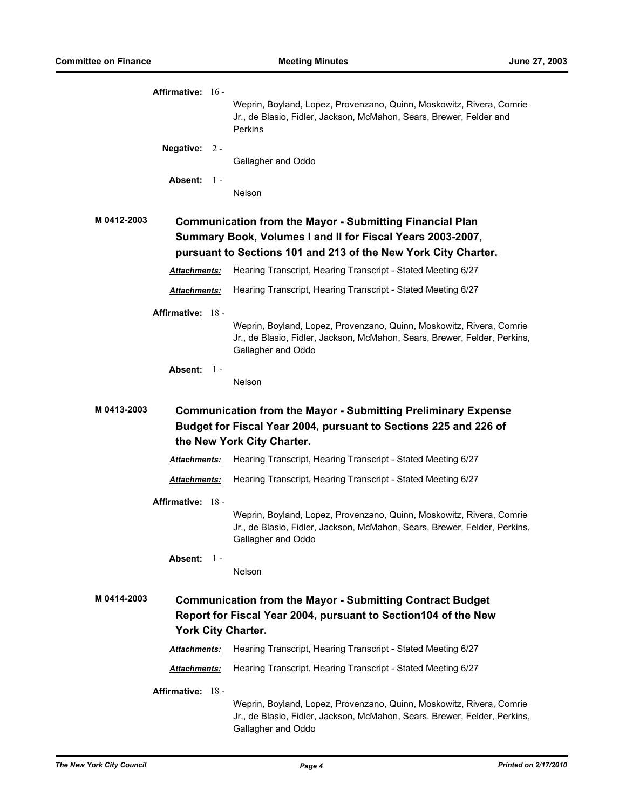|             | Affirmative: 16 -        |       | Weprin, Boyland, Lopez, Provenzano, Quinn, Moskowitz, Rivera, Comrie<br>Jr., de Blasio, Fidler, Jackson, McMahon, Sears, Brewer, Felder and<br><b>Perkins</b>                                   |
|-------------|--------------------------|-------|-------------------------------------------------------------------------------------------------------------------------------------------------------------------------------------------------|
|             | <b>Negative:</b>         | $2 -$ | Gallagher and Oddo                                                                                                                                                                              |
|             | Absent: $1 -$            |       |                                                                                                                                                                                                 |
|             |                          |       | Nelson                                                                                                                                                                                          |
| M 0412-2003 |                          |       | <b>Communication from the Mayor - Submitting Financial Plan</b><br>Summary Book, Volumes I and II for Fiscal Years 2003-2007,<br>pursuant to Sections 101 and 213 of the New York City Charter. |
|             | <b>Attachments:</b>      |       | Hearing Transcript, Hearing Transcript - Stated Meeting 6/27                                                                                                                                    |
|             | Attachments:             |       | Hearing Transcript, Hearing Transcript - Stated Meeting 6/27                                                                                                                                    |
|             | Affirmative: 18 -        |       |                                                                                                                                                                                                 |
|             |                          |       | Weprin, Boyland, Lopez, Provenzano, Quinn, Moskowitz, Rivera, Comrie<br>Jr., de Blasio, Fidler, Jackson, McMahon, Sears, Brewer, Felder, Perkins,<br>Gallagher and Oddo                         |
|             | Absent: $1 -$            |       | Nelson                                                                                                                                                                                          |
| M 0413-2003 |                          |       | <b>Communication from the Mayor - Submitting Preliminary Expense</b><br>Budget for Fiscal Year 2004, pursuant to Sections 225 and 226 of<br>the New York City Charter.                          |
|             | <b>Attachments:</b>      |       | Hearing Transcript, Hearing Transcript - Stated Meeting 6/27                                                                                                                                    |
|             | Attachments:             |       | Hearing Transcript, Hearing Transcript - Stated Meeting 6/27                                                                                                                                    |
|             | <b>Affirmative: 18 -</b> |       |                                                                                                                                                                                                 |
|             |                          |       | Weprin, Boyland, Lopez, Provenzano, Quinn, Moskowitz, Rivera, Comrie<br>Jr., de Blasio, Fidler, Jackson, McMahon, Sears, Brewer, Felder, Perkins,<br>Gallagher and Oddo                         |
|             | Absent: 1-               |       | <b>Nelson</b>                                                                                                                                                                                   |
| M 0414-2003 |                          |       | <b>Communication from the Mayor - Submitting Contract Budget</b><br>Report for Fiscal Year 2004, pursuant to Section 104 of the New<br><b>York City Charter.</b>                                |
|             | <b>Attachments:</b>      |       | Hearing Transcript, Hearing Transcript - Stated Meeting 6/27                                                                                                                                    |
|             | Attachments:             |       | Hearing Transcript, Hearing Transcript - Stated Meeting 6/27                                                                                                                                    |
|             | <b>Affirmative: 18 -</b> |       |                                                                                                                                                                                                 |
|             |                          |       | Weprin, Boyland, Lopez, Provenzano, Quinn, Moskowitz, Rivera, Comrie<br>Jr., de Blasio, Fidler, Jackson, McMahon, Sears, Brewer, Felder, Perkins,<br>Gallagher and Oddo                         |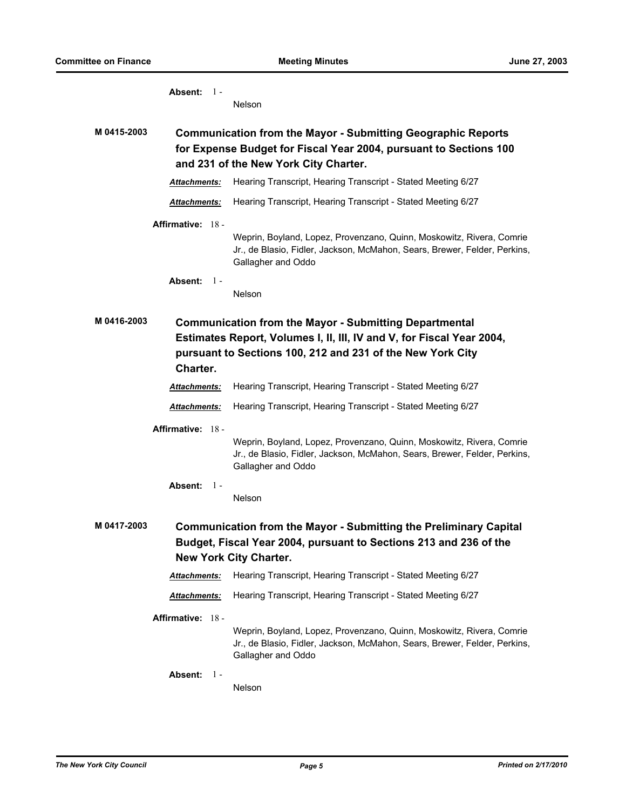| Absent: $1 -$           | Nelson                                                                                                                                                                                               |
|-------------------------|------------------------------------------------------------------------------------------------------------------------------------------------------------------------------------------------------|
| M 0415-2003             | <b>Communication from the Mayor - Submitting Geographic Reports</b><br>for Expense Budget for Fiscal Year 2004, pursuant to Sections 100<br>and 231 of the New York City Charter.                    |
| <b>Attachments:</b>     | Hearing Transcript, Hearing Transcript - Stated Meeting 6/27                                                                                                                                         |
| Attachments:            | Hearing Transcript, Hearing Transcript - Stated Meeting 6/27                                                                                                                                         |
| Affirmative: 18 -       | Weprin, Boyland, Lopez, Provenzano, Quinn, Moskowitz, Rivera, Comrie<br>Jr., de Blasio, Fidler, Jackson, McMahon, Sears, Brewer, Felder, Perkins,<br>Gallagher and Oddo                              |
| Absent: $1 -$           | <b>Nelson</b>                                                                                                                                                                                        |
| M 0416-2003<br>Charter. | <b>Communication from the Mayor - Submitting Departmental</b><br>Estimates Report, Volumes I, II, III, IV and V, for Fiscal Year 2004,<br>pursuant to Sections 100, 212 and 231 of the New York City |
| Attachments:            | Hearing Transcript, Hearing Transcript - Stated Meeting 6/27                                                                                                                                         |
| Attachments:            | Hearing Transcript, Hearing Transcript - Stated Meeting 6/27                                                                                                                                         |
| Affirmative: 18 -       | Weprin, Boyland, Lopez, Provenzano, Quinn, Moskowitz, Rivera, Comrie<br>Jr., de Blasio, Fidler, Jackson, McMahon, Sears, Brewer, Felder, Perkins,<br>Gallagher and Oddo                              |
| Absent:<br>$1 -$        | Nelson                                                                                                                                                                                               |
| M 0417-2003             | <b>Communication from the Mayor - Submitting the Preliminary Capital</b><br>Budget, Fiscal Year 2004, pursuant to Sections 213 and 236 of the<br><b>New York City Charter.</b>                       |
| Attachments:            | Hearing Transcript, Hearing Transcript - Stated Meeting 6/27                                                                                                                                         |
| Attachments:            | Hearing Transcript, Hearing Transcript - Stated Meeting 6/27                                                                                                                                         |
| Affirmative: 18 -       | Weprin, Boyland, Lopez, Provenzano, Quinn, Moskowitz, Rivera, Comrie<br>Jr., de Blasio, Fidler, Jackson, McMahon, Sears, Brewer, Felder, Perkins,<br>Gallagher and Oddo                              |
| <b>Absent:</b><br>- 1 - | Nelson                                                                                                                                                                                               |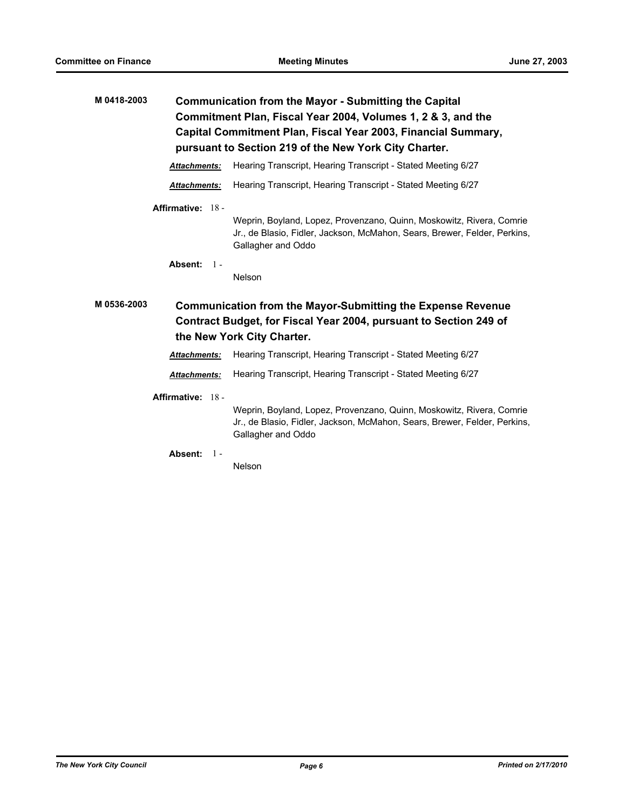| M 0418-2003 | <b>Communication from the Mayor - Submitting the Capital</b><br>Commitment Plan, Fiscal Year 2004, Volumes 1, 2 & 3, and the<br>Capital Commitment Plan, Fiscal Year 2003, Financial Summary,<br>pursuant to Section 219 of the New York City Charter. |                                                                                                                                                                         |
|-------------|--------------------------------------------------------------------------------------------------------------------------------------------------------------------------------------------------------------------------------------------------------|-------------------------------------------------------------------------------------------------------------------------------------------------------------------------|
|             | Attachments:                                                                                                                                                                                                                                           | Hearing Transcript, Hearing Transcript - Stated Meeting 6/27                                                                                                            |
|             | Attachments:                                                                                                                                                                                                                                           | Hearing Transcript, Hearing Transcript - Stated Meeting 6/27                                                                                                            |
|             | Affirmative: 18 -                                                                                                                                                                                                                                      | Weprin, Boyland, Lopez, Provenzano, Quinn, Moskowitz, Rivera, Comrie<br>Jr., de Blasio, Fidler, Jackson, McMahon, Sears, Brewer, Felder, Perkins,<br>Gallagher and Oddo |
|             | Absent: $1 -$                                                                                                                                                                                                                                          | Nelson                                                                                                                                                                  |
|             |                                                                                                                                                                                                                                                        |                                                                                                                                                                         |
| M 0536-2003 |                                                                                                                                                                                                                                                        | <b>Communication from the Mayor-Submitting the Expense Revenue</b><br>Contract Budget, for Fiscal Year 2004, pursuant to Section 249 of<br>the New York City Charter.   |
|             | Attachments:                                                                                                                                                                                                                                           | Hearing Transcript, Hearing Transcript - Stated Meeting 6/27                                                                                                            |
|             | <b>Attachments:</b>                                                                                                                                                                                                                                    | Hearing Transcript, Hearing Transcript - Stated Meeting 6/27                                                                                                            |
|             | Affirmative: 18 -                                                                                                                                                                                                                                      | Weprin, Boyland, Lopez, Provenzano, Quinn, Moskowitz, Rivera, Comrie<br>Jr., de Blasio, Fidler, Jackson, McMahon, Sears, Brewer, Felder, Perkins,<br>Gallagher and Oddo |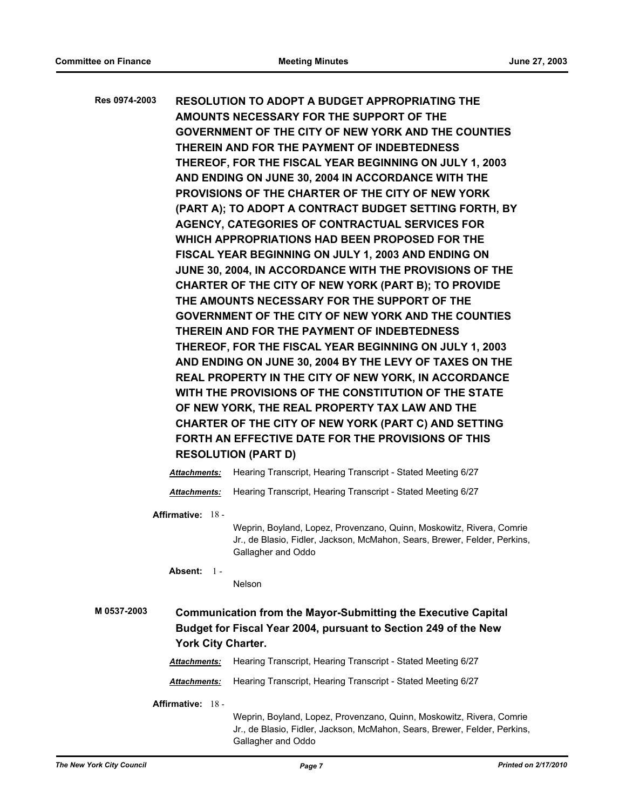| Res 0974-2003 |                     | <b>RESOLUTION TO ADOPT A BUDGET APPROPRIATING THE</b>                                                                                                                   |
|---------------|---------------------|-------------------------------------------------------------------------------------------------------------------------------------------------------------------------|
|               |                     | AMOUNTS NECESSARY FOR THE SUPPORT OF THE                                                                                                                                |
|               |                     | GOVERNMENT OF THE CITY OF NEW YORK AND THE COUNTIES                                                                                                                     |
|               |                     | THEREIN AND FOR THE PAYMENT OF INDEBTEDNESS                                                                                                                             |
|               |                     | THEREOF, FOR THE FISCAL YEAR BEGINNING ON JULY 1, 2003                                                                                                                  |
|               |                     | AND ENDING ON JUNE 30, 2004 IN ACCORDANCE WITH THE                                                                                                                      |
|               |                     | PROVISIONS OF THE CHARTER OF THE CITY OF NEW YORK                                                                                                                       |
|               |                     | (PART A); TO ADOPT A CONTRACT BUDGET SETTING FORTH, BY                                                                                                                  |
|               |                     | AGENCY, CATEGORIES OF CONTRACTUAL SERVICES FOR                                                                                                                          |
|               |                     | WHICH APPROPRIATIONS HAD BEEN PROPOSED FOR THE                                                                                                                          |
|               |                     | FISCAL YEAR BEGINNING ON JULY 1, 2003 AND ENDING ON                                                                                                                     |
|               |                     | JUNE 30, 2004, IN ACCORDANCE WITH THE PROVISIONS OF THE                                                                                                                 |
|               |                     | CHARTER OF THE CITY OF NEW YORK (PART B); TO PROVIDE                                                                                                                    |
|               |                     | THE AMOUNTS NECESSARY FOR THE SUPPORT OF THE                                                                                                                            |
|               |                     | GOVERNMENT OF THE CITY OF NEW YORK AND THE COUNTIES                                                                                                                     |
|               |                     | THEREIN AND FOR THE PAYMENT OF INDEBTEDNESS                                                                                                                             |
|               |                     | THEREOF, FOR THE FISCAL YEAR BEGINNING ON JULY 1, 2003                                                                                                                  |
|               |                     | AND ENDING ON JUNE 30, 2004 BY THE LEVY OF TAXES ON THE                                                                                                                 |
|               |                     | REAL PROPERTY IN THE CITY OF NEW YORK, IN ACCORDANCE                                                                                                                    |
|               |                     | WITH THE PROVISIONS OF THE CONSTITUTION OF THE STATE                                                                                                                    |
|               |                     | OF NEW YORK, THE REAL PROPERTY TAX LAW AND THE                                                                                                                          |
|               |                     | CHARTER OF THE CITY OF NEW YORK (PART C) AND SETTING                                                                                                                    |
|               |                     | FORTH AN EFFECTIVE DATE FOR THE PROVISIONS OF THIS                                                                                                                      |
|               |                     | <b>RESOLUTION (PART D)</b>                                                                                                                                              |
|               | <b>Attachments:</b> | Hearing Transcript, Hearing Transcript - Stated Meeting 6/27                                                                                                            |
|               | Attachments:        | Hearing Transcript, Hearing Transcript - Stated Meeting 6/27                                                                                                            |
|               | Affirmative: 18 -   |                                                                                                                                                                         |
|               |                     | Weprin, Boyland, Lopez, Provenzano, Quinn, Moskowitz, Rivera, Comrie<br>Jr., de Blasio, Fidler, Jackson, McMahon, Sears, Brewer, Felder, Perkins,<br>Gallagher and Oddo |
|               | Absent: $1 -$       |                                                                                                                                                                         |
|               |                     | <b>Nelson</b>                                                                                                                                                           |
| M 0537-2003   |                     | <b>Communication from the Mayor-Submitting the Executive Capital</b>                                                                                                    |
|               |                     | Budget for Fiscal Year 2004, pursuant to Section 249 of the New                                                                                                         |
|               | York City Charter.  |                                                                                                                                                                         |
|               | Attachments:        | Hearing Transcript, Hearing Transcript - Stated Meeting 6/27                                                                                                            |
|               | Attachments:        | Hearing Transcript, Hearing Transcript - Stated Meeting 6/27                                                                                                            |
|               | Affirmative: 18 -   |                                                                                                                                                                         |
|               |                     | Weprin, Boyland, Lopez, Provenzano, Quinn, Moskowitz, Rivera, Comrie<br>Jr., de Blasio, Fidler, Jackson, McMahon, Sears, Brewer, Felder, Perkins,<br>Gallagher and Oddo |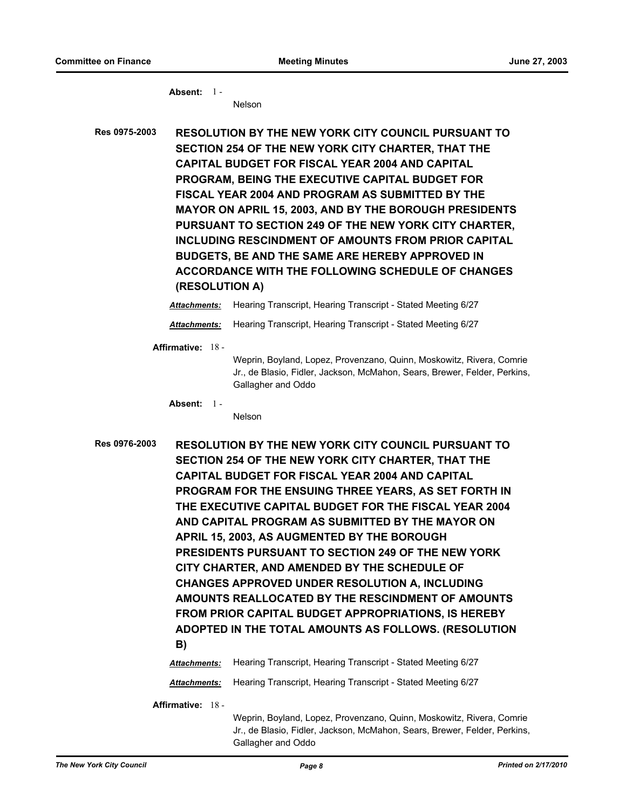**Absent:** 1 - Nelson

**Res 0975-2003 RESOLUTION BY THE NEW YORK CITY COUNCIL PURSUANT TO SECTION 254 OF THE NEW YORK CITY CHARTER, THAT THE CAPITAL BUDGET FOR FISCAL YEAR 2004 AND CAPITAL PROGRAM, BEING THE EXECUTIVE CAPITAL BUDGET FOR FISCAL YEAR 2004 AND PROGRAM AS SUBMITTED BY THE MAYOR ON APRIL 15, 2003, AND BY THE BOROUGH PRESIDENTS PURSUANT TO SECTION 249 OF THE NEW YORK CITY CHARTER, INCLUDING RESCINDMENT OF AMOUNTS FROM PRIOR CAPITAL BUDGETS, BE AND THE SAME ARE HEREBY APPROVED IN ACCORDANCE WITH THE FOLLOWING SCHEDULE OF CHANGES (RESOLUTION A)**

*Attachments:* Hearing Transcript, Hearing Transcript - Stated Meeting 6/27

*Attachments:* Hearing Transcript, Hearing Transcript - Stated Meeting 6/27

**Affirmative:** 18 -

Weprin, Boyland, Lopez, Provenzano, Quinn, Moskowitz, Rivera, Comrie Jr., de Blasio, Fidler, Jackson, McMahon, Sears, Brewer, Felder, Perkins, Gallagher and Oddo

**Absent:** 1 -

Nelson

**Res 0976-2003 RESOLUTION BY THE NEW YORK CITY COUNCIL PURSUANT TO SECTION 254 OF THE NEW YORK CITY CHARTER, THAT THE CAPITAL BUDGET FOR FISCAL YEAR 2004 AND CAPITAL PROGRAM FOR THE ENSUING THREE YEARS, AS SET FORTH IN THE EXECUTIVE CAPITAL BUDGET FOR THE FISCAL YEAR 2004 AND CAPITAL PROGRAM AS SUBMITTED BY THE MAYOR ON APRIL 15, 2003, AS AUGMENTED BY THE BOROUGH PRESIDENTS PURSUANT TO SECTION 249 OF THE NEW YORK CITY CHARTER, AND AMENDED BY THE SCHEDULE OF CHANGES APPROVED UNDER RESOLUTION A, INCLUDING AMOUNTS REALLOCATED BY THE RESCINDMENT OF AMOUNTS FROM PRIOR CAPITAL BUDGET APPROPRIATIONS, IS HEREBY ADOPTED IN THE TOTAL AMOUNTS AS FOLLOWS. (RESOLUTION B)** *Attachments:* Hearing Transcript, Hearing Transcript - Stated Meeting 6/27

*Attachments:* Hearing Transcript, Hearing Transcript - Stated Meeting 6/27

**Affirmative:** 18 -

Weprin, Boyland, Lopez, Provenzano, Quinn, Moskowitz, Rivera, Comrie Jr., de Blasio, Fidler, Jackson, McMahon, Sears, Brewer, Felder, Perkins, Gallagher and Oddo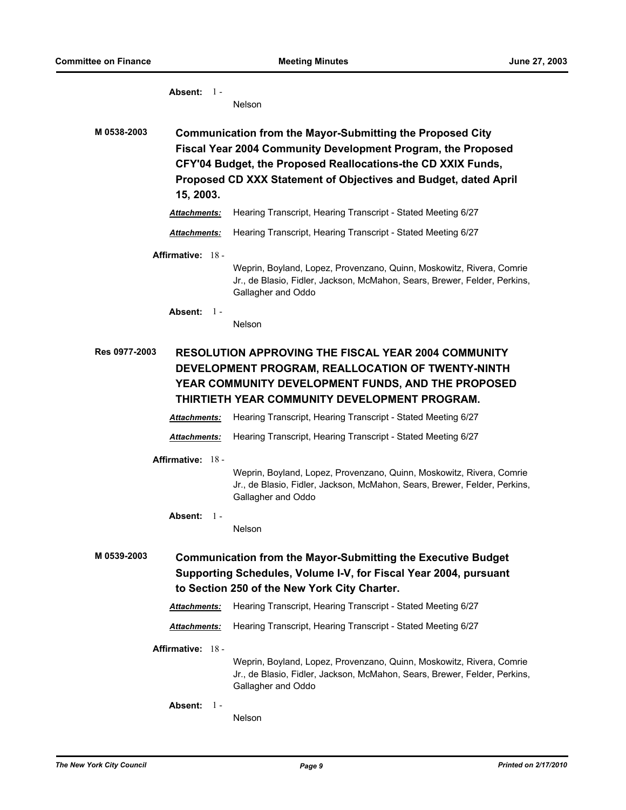**Absent:** 1 - Nelson **M 0538-2003 Communication from the Mayor-Submitting the Proposed City Fiscal Year 2004 Community Development Program, the Proposed CFY'04 Budget, the Proposed Reallocations-the CD XXIX Funds, Proposed CD XXX Statement of Objectives and Budget, dated April 15, 2003.** *Attachments:* Hearing Transcript, Hearing Transcript - Stated Meeting 6/27 *Attachments:* Hearing Transcript, Hearing Transcript - Stated Meeting 6/27 **Affirmative:** 18 - Weprin, Boyland, Lopez, Provenzano, Quinn, Moskowitz, Rivera, Comrie Jr., de Blasio, Fidler, Jackson, McMahon, Sears, Brewer, Felder, Perkins, Gallagher and Oddo **Absent:** 1 - Nelson **Res 0977-2003 RESOLUTION APPROVING THE FISCAL YEAR 2004 COMMUNITY DEVELOPMENT PROGRAM, REALLOCATION OF TWENTY-NINTH YEAR COMMUNITY DEVELOPMENT FUNDS, AND THE PROPOSED THIRTIETH YEAR COMMUNITY DEVELOPMENT PROGRAM.** *Attachments:* Hearing Transcript, Hearing Transcript - Stated Meeting 6/27 *Attachments:* Hearing Transcript, Hearing Transcript - Stated Meeting 6/27 **Affirmative:** 18 - Weprin, Boyland, Lopez, Provenzano, Quinn, Moskowitz, Rivera, Comrie Jr., de Blasio, Fidler, Jackson, McMahon, Sears, Brewer, Felder, Perkins, Gallagher and Oddo **Absent:** 1 - Nelson **M 0539-2003 Communication from the Mayor-Submitting the Executive Budget Supporting Schedules, Volume I-V, for Fiscal Year 2004, pursuant to Section 250 of the New York City Charter.** *Attachments:* Hearing Transcript, Hearing Transcript - Stated Meeting 6/27 *Attachments:* Hearing Transcript, Hearing Transcript - Stated Meeting 6/27 **Affirmative:** 18 - Weprin, Boyland, Lopez, Provenzano, Quinn, Moskowitz, Rivera, Comrie Jr., de Blasio, Fidler, Jackson, McMahon, Sears, Brewer, Felder, Perkins, Gallagher and Oddo **Absent:** 1 - Nelson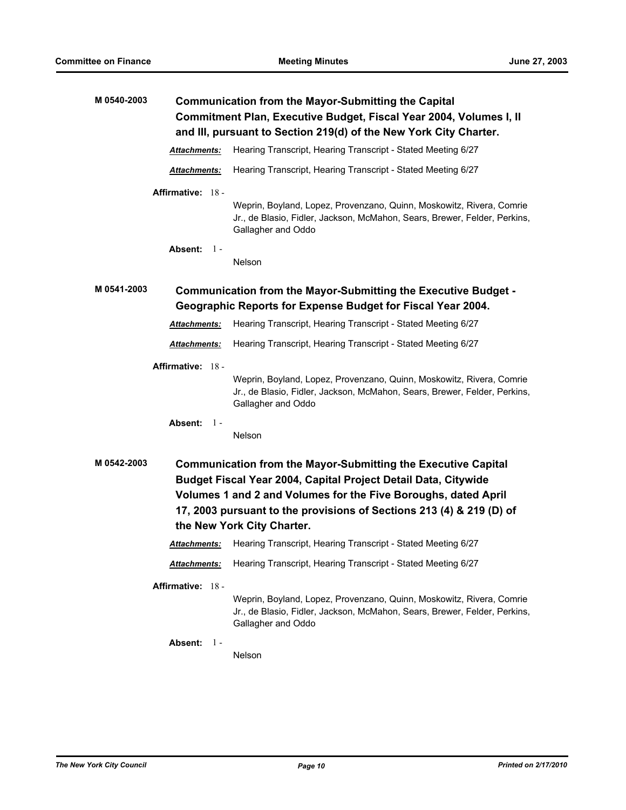| M 0540-2003 | <b>Communication from the Mayor-Submitting the Capital</b><br>Commitment Plan, Executive Budget, Fiscal Year 2004, Volumes I, II<br>and III, pursuant to Section 219(d) of the New York City Charter. |                                                                                                                                                                                                                                                                                                                |
|-------------|-------------------------------------------------------------------------------------------------------------------------------------------------------------------------------------------------------|----------------------------------------------------------------------------------------------------------------------------------------------------------------------------------------------------------------------------------------------------------------------------------------------------------------|
|             | Attachments:                                                                                                                                                                                          | Hearing Transcript, Hearing Transcript - Stated Meeting 6/27                                                                                                                                                                                                                                                   |
|             | Attachments:                                                                                                                                                                                          | Hearing Transcript, Hearing Transcript - Stated Meeting 6/27                                                                                                                                                                                                                                                   |
|             | Affirmative: 18 -                                                                                                                                                                                     | Weprin, Boyland, Lopez, Provenzano, Quinn, Moskowitz, Rivera, Comrie<br>Jr., de Blasio, Fidler, Jackson, McMahon, Sears, Brewer, Felder, Perkins,                                                                                                                                                              |
|             | Absent: $1 -$                                                                                                                                                                                         | Gallagher and Oddo<br>Nelson                                                                                                                                                                                                                                                                                   |
| M 0541-2003 |                                                                                                                                                                                                       | Communication from the Mayor-Submitting the Executive Budget -<br>Geographic Reports for Expense Budget for Fiscal Year 2004.                                                                                                                                                                                  |
|             | Attachments:                                                                                                                                                                                          | Hearing Transcript, Hearing Transcript - Stated Meeting 6/27                                                                                                                                                                                                                                                   |
|             | Attachments:                                                                                                                                                                                          | Hearing Transcript, Hearing Transcript - Stated Meeting 6/27                                                                                                                                                                                                                                                   |
|             | Affirmative: 18 -                                                                                                                                                                                     | Weprin, Boyland, Lopez, Provenzano, Quinn, Moskowitz, Rivera, Comrie<br>Jr., de Blasio, Fidler, Jackson, McMahon, Sears, Brewer, Felder, Perkins,<br>Gallagher and Oddo                                                                                                                                        |
|             | Absent: 1-                                                                                                                                                                                            | Nelson                                                                                                                                                                                                                                                                                                         |
| M 0542-2003 |                                                                                                                                                                                                       | <b>Communication from the Mayor-Submitting the Executive Capital</b><br>Budget Fiscal Year 2004, Capital Project Detail Data, Citywide<br>Volumes 1 and 2 and Volumes for the Five Boroughs, dated April<br>17, 2003 pursuant to the provisions of Sections 213 (4) & 219 (D) of<br>the New York City Charter. |
|             | Attachments:                                                                                                                                                                                          | Hearing Transcript, Hearing Transcript - Stated Meeting 6/27                                                                                                                                                                                                                                                   |
|             | Attachments:                                                                                                                                                                                          | Hearing Transcript, Hearing Transcript - Stated Meeting 6/27                                                                                                                                                                                                                                                   |
|             | Affirmative: 18 -                                                                                                                                                                                     | Weprin, Boyland, Lopez, Provenzano, Quinn, Moskowitz, Rivera, Comrie<br>Jr., de Blasio, Fidler, Jackson, McMahon, Sears, Brewer, Felder, Perkins,<br>Gallagher and Oddo                                                                                                                                        |
|             | Absent: 1-                                                                                                                                                                                            | Nelson                                                                                                                                                                                                                                                                                                         |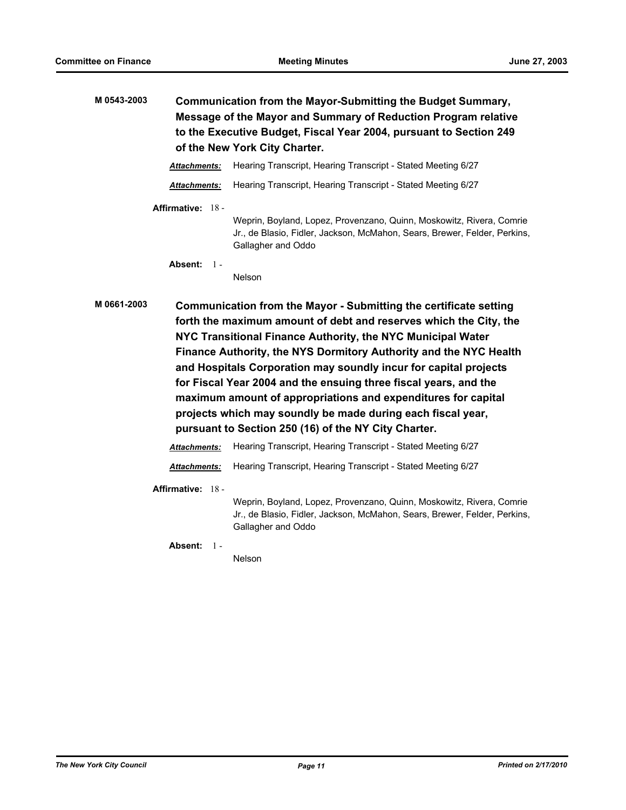| M 0543-2003 | Communication from the Mayor-Submitting the Budget Summary,        |
|-------------|--------------------------------------------------------------------|
|             | Message of the Mayor and Summary of Reduction Program relative     |
|             | to the Executive Budget, Fiscal Year 2004, pursuant to Section 249 |
|             | of the New York City Charter.                                      |
|             |                                                                    |

*Attachments:* Hearing Transcript, Hearing Transcript - Stated Meeting 6/27

*Attachments:* Hearing Transcript, Hearing Transcript - Stated Meeting 6/27

#### **Affirmative:** 18 -

Weprin, Boyland, Lopez, Provenzano, Quinn, Moskowitz, Rivera, Comrie Jr., de Blasio, Fidler, Jackson, McMahon, Sears, Brewer, Felder, Perkins, Gallagher and Oddo

**Absent:** 1 -

Nelson

**M 0661-2003 Communication from the Mayor - Submitting the certificate setting forth the maximum amount of debt and reserves which the City, the NYC Transitional Finance Authority, the NYC Municipal Water Finance Authority, the NYS Dormitory Authority and the NYC Health and Hospitals Corporation may soundly incur for capital projects for Fiscal Year 2004 and the ensuing three fiscal years, and the maximum amount of appropriations and expenditures for capital projects which may soundly be made during each fiscal year, pursuant to Section 250 (16) of the NY City Charter.**

*Attachments:* Hearing Transcript, Hearing Transcript - Stated Meeting 6/27

*Attachments:* Hearing Transcript, Hearing Transcript - Stated Meeting 6/27

**Affirmative:** 18 -

Weprin, Boyland, Lopez, Provenzano, Quinn, Moskowitz, Rivera, Comrie Jr., de Blasio, Fidler, Jackson, McMahon, Sears, Brewer, Felder, Perkins, Gallagher and Oddo

**Absent:** 1 -

Nelson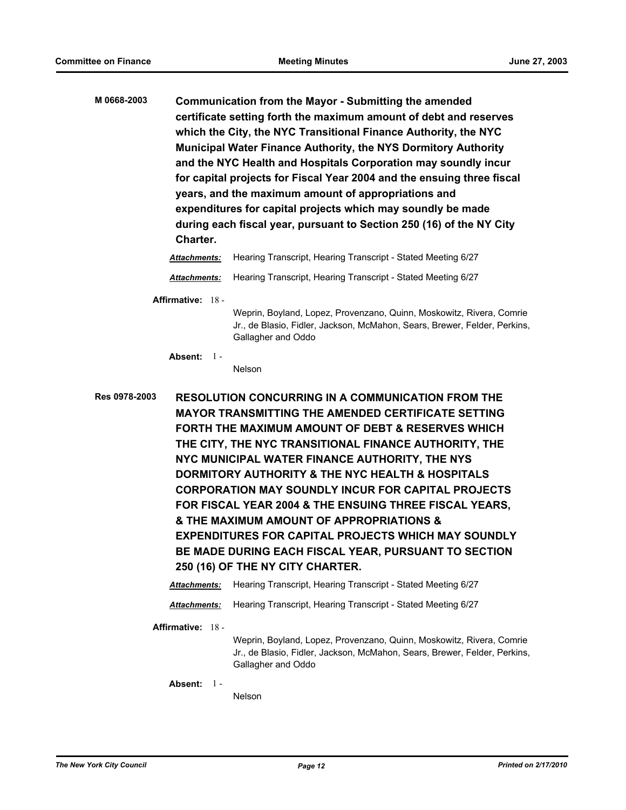**M 0668-2003 Communication from the Mayor - Submitting the amended certificate setting forth the maximum amount of debt and reserves which the City, the NYC Transitional Finance Authority, the NYC Municipal Water Finance Authority, the NYS Dormitory Authority and the NYC Health and Hospitals Corporation may soundly incur for capital projects for Fiscal Year 2004 and the ensuing three fiscal years, and the maximum amount of appropriations and expenditures for capital projects which may soundly be made during each fiscal year, pursuant to Section 250 (16) of the NY City Charter.** *Attachments:* Hearing Transcript, Hearing Transcript - Stated Meeting 6/27

*Attachments:* Hearing Transcript, Hearing Transcript - Stated Meeting 6/27

**Affirmative:** 18 -

Weprin, Boyland, Lopez, Provenzano, Quinn, Moskowitz, Rivera, Comrie Jr., de Blasio, Fidler, Jackson, McMahon, Sears, Brewer, Felder, Perkins, Gallagher and Oddo

**Absent:** 1 -

Nelson

**Res 0978-2003 RESOLUTION CONCURRING IN A COMMUNICATION FROM THE MAYOR TRANSMITTING THE AMENDED CERTIFICATE SETTING FORTH THE MAXIMUM AMOUNT OF DEBT & RESERVES WHICH THE CITY, THE NYC TRANSITIONAL FINANCE AUTHORITY, THE NYC MUNICIPAL WATER FINANCE AUTHORITY, THE NYS DORMITORY AUTHORITY & THE NYC HEALTH & HOSPITALS CORPORATION MAY SOUNDLY INCUR FOR CAPITAL PROJECTS FOR FISCAL YEAR 2004 & THE ENSUING THREE FISCAL YEARS, & THE MAXIMUM AMOUNT OF APPROPRIATIONS & EXPENDITURES FOR CAPITAL PROJECTS WHICH MAY SOUNDLY BE MADE DURING EACH FISCAL YEAR, PURSUANT TO SECTION 250 (16) OF THE NY CITY CHARTER.**

*Attachments:* Hearing Transcript, Hearing Transcript - Stated Meeting 6/27

*Attachments:* Hearing Transcript, Hearing Transcript - Stated Meeting 6/27

**Affirmative:** 18 -

Weprin, Boyland, Lopez, Provenzano, Quinn, Moskowitz, Rivera, Comrie Jr., de Blasio, Fidler, Jackson, McMahon, Sears, Brewer, Felder, Perkins, Gallagher and Oddo

**Absent:** 1 -

Nelson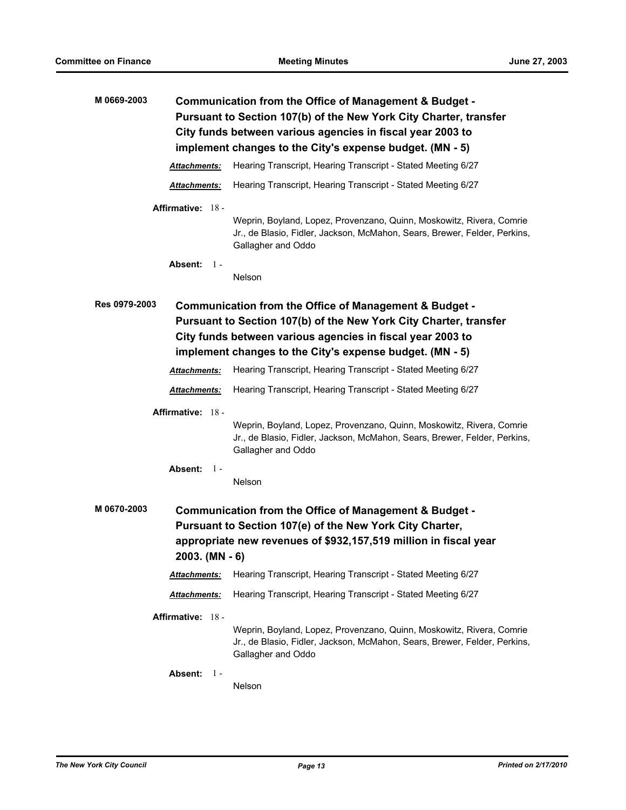| M 0669-2003                                                                                                                                                                                                               | Communication from the Office of Management & Budget -<br>Pursuant to Section 107(b) of the New York City Charter, transfer<br>City funds between various agencies in fiscal year 2003 to                                                             |  |  |
|---------------------------------------------------------------------------------------------------------------------------------------------------------------------------------------------------------------------------|-------------------------------------------------------------------------------------------------------------------------------------------------------------------------------------------------------------------------------------------------------|--|--|
| implement changes to the City's expense budget. (MN - 5)                                                                                                                                                                  |                                                                                                                                                                                                                                                       |  |  |
| <b>Attachments:</b>                                                                                                                                                                                                       | Hearing Transcript, Hearing Transcript - Stated Meeting 6/27                                                                                                                                                                                          |  |  |
| Attachments:                                                                                                                                                                                                              | Hearing Transcript, Hearing Transcript - Stated Meeting 6/27                                                                                                                                                                                          |  |  |
| Affirmative: 18 -                                                                                                                                                                                                         | Weprin, Boyland, Lopez, Provenzano, Quinn, Moskowitz, Rivera, Comrie<br>Jr., de Blasio, Fidler, Jackson, McMahon, Sears, Brewer, Felder, Perkins,<br>Gallagher and Oddo                                                                               |  |  |
| Absent:<br>$1 -$                                                                                                                                                                                                          | Nelson                                                                                                                                                                                                                                                |  |  |
| Res 0979-2003                                                                                                                                                                                                             | Communication from the Office of Management & Budget -<br>Pursuant to Section 107(b) of the New York City Charter, transfer<br>City funds between various agencies in fiscal year 2003 to<br>implement changes to the City's expense budget. (MN - 5) |  |  |
| Attachments:                                                                                                                                                                                                              | Hearing Transcript, Hearing Transcript - Stated Meeting 6/27                                                                                                                                                                                          |  |  |
| Attachments:                                                                                                                                                                                                              | Hearing Transcript, Hearing Transcript - Stated Meeting 6/27                                                                                                                                                                                          |  |  |
| Affirmative: 18 -<br>Absent:<br>$1 -$                                                                                                                                                                                     | Weprin, Boyland, Lopez, Provenzano, Quinn, Moskowitz, Rivera, Comrie<br>Jr., de Blasio, Fidler, Jackson, McMahon, Sears, Brewer, Felder, Perkins,<br>Gallagher and Oddo                                                                               |  |  |
|                                                                                                                                                                                                                           | Nelson                                                                                                                                                                                                                                                |  |  |
| M 0670-2003<br>Communication from the Office of Management & Budget -<br>Pursuant to Section 107(e) of the New York City Charter,<br>appropriate new revenues of \$932,157,519 million in fiscal year<br>$2003.$ (MN - 6) |                                                                                                                                                                                                                                                       |  |  |
| Attachments:                                                                                                                                                                                                              | Hearing Transcript, Hearing Transcript - Stated Meeting 6/27                                                                                                                                                                                          |  |  |
| Attachments:                                                                                                                                                                                                              | Hearing Transcript, Hearing Transcript - Stated Meeting 6/27                                                                                                                                                                                          |  |  |
| Affirmative: 18 -                                                                                                                                                                                                         | Weprin, Boyland, Lopez, Provenzano, Quinn, Moskowitz, Rivera, Comrie<br>Jr., de Blasio, Fidler, Jackson, McMahon, Sears, Brewer, Felder, Perkins,<br>Gallagher and Oddo                                                                               |  |  |
| Absent:<br>$1 -$                                                                                                                                                                                                          | Nelson                                                                                                                                                                                                                                                |  |  |